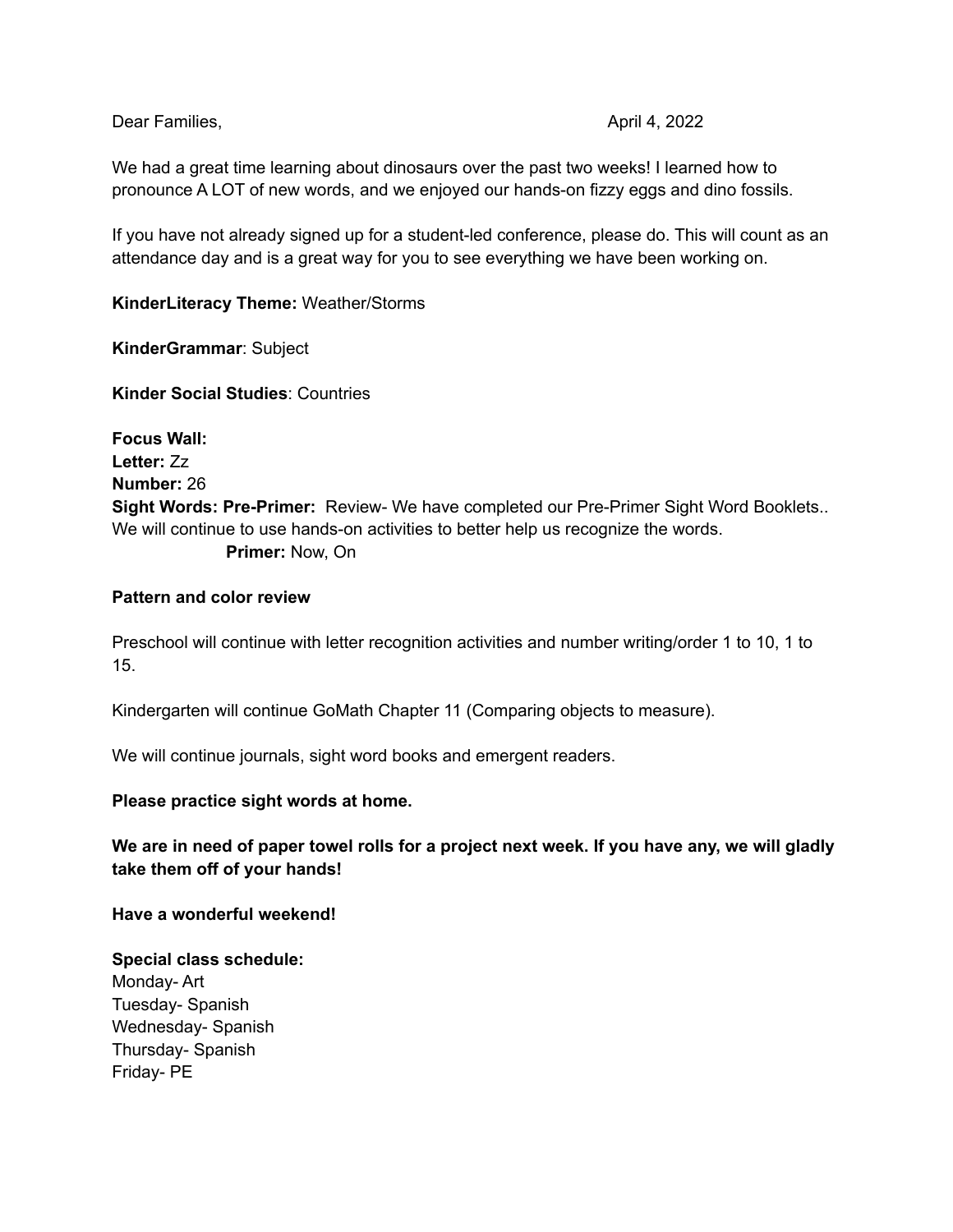Dear Families, April 4, 2022

We had a great time learning about dinosaurs over the past two weeks! I learned how to pronounce A LOT of new words, and we enjoyed our hands-on fizzy eggs and dino fossils.

If you have not already signed up for a student-led conference, please do. This will count as an attendance day and is a great way for you to see everything we have been working on.

**KinderLiteracy Theme:** Weather/Storms

**KinderGrammar**: Subject

**Kinder Social Studies**: Countries

**Focus Wall: Letter:** Zz **Number:** 26 **Sight Words: Pre-Primer:** Review- We have completed our Pre-Primer Sight Word Booklets.. We will continue to use hands-on activities to better help us recognize the words. **Primer:** Now, On

#### **Pattern and color review**

Preschool will continue with letter recognition activities and number writing/order 1 to 10, 1 to 15.

Kindergarten will continue GoMath Chapter 11 (Comparing objects to measure).

We will continue journals, sight word books and emergent readers.

#### **Please practice sight words at home.**

We are in need of paper towel rolls for a project next week. If you have any, we will gladly **take them off of your hands!**

**Have a wonderful weekend!**

### **Special class schedule:**

Monday- Art Tuesday- Spanish Wednesday- Spanish Thursday- Spanish Friday- PE